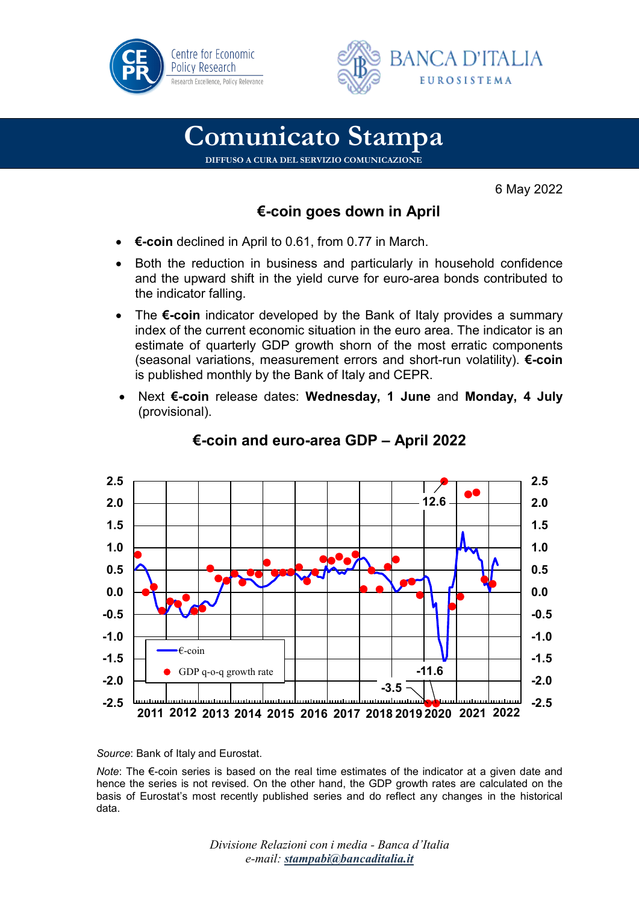



## **Comunicato Stampa**

**DIFFUSO A CURA DEL SERVIZIO COMUNICAZIONE**

6 May 2022

## **€-coin goes down in April**

- **€-coin** declined in April to 0.61, from 0.77 in March.
- Both the reduction in business and particularly in household confidence and the upward shift in the yield curve for euro-area bonds contributed to the indicator falling.
- The **€-coin** indicator developed by the Bank of Italy provides a summary index of the current economic situation in the euro area. The indicator is an estimate of quarterly GDP growth shorn of the most erratic components (seasonal variations, measurement errors and short-run volatility). **€-coin** is published monthly by the Bank of Italy and CEPR.
- Next **€-coin** release dates: **Wednesday, 1 June** and **Monday, 4 July** (provisional).



## **€-coin and euro-area GDP – April 2022**

*Source*: Bank of Italy and Eurostat.

*Note*: The €-coin series is based on the real time estimates of the indicator at a given date and hence the series is not revised. On the other hand, the GDP growth rates are calculated on the basis of Eurostat's most recently published series and do reflect any changes in the historical data.

> *Divisione Relazioni con i media - Banca d'Italia e-mail: [stampabi@bancaditalia.it](mailto:stampabi@bancaditalia.it)*